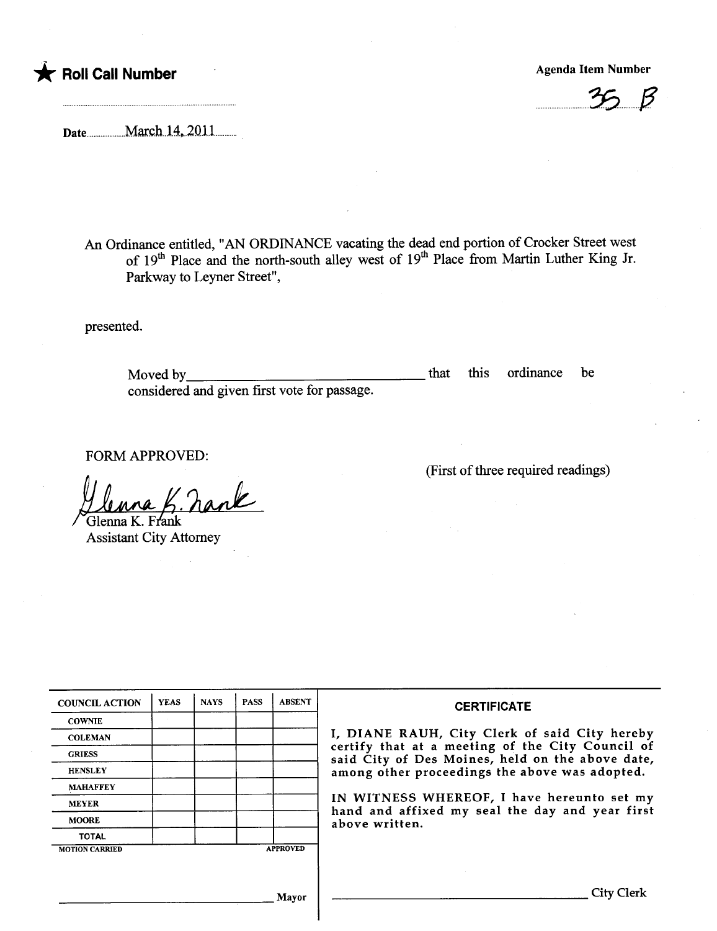



Date.hh.....hhh.hh.March.l4...20llhhhhhh

An Ordinance entitled, "AN ORDINANCE vacating the dead end portion of Crocker Street west of  $19<sup>th</sup>$  Place and the north-south alley west of  $19<sup>th</sup>$  Place from Martin Luther King Jr. Parkway to Leyner Street",

presented.

Moved by considered and given first vote for passage. that this ordinance be

FORM APPROVED:

Glenna K. Frank

Assistant City Attorney

(First of three required readings)

| <b>COUNCIL ACTION</b> | <b>YEAS</b>     | <b>NAYS</b> | <b>PASS</b> | <b>ABSENT</b> | <b>CERTIFICATE</b>                                                                                                                                                                                      |  |  |
|-----------------------|-----------------|-------------|-------------|---------------|---------------------------------------------------------------------------------------------------------------------------------------------------------------------------------------------------------|--|--|
| <b>COWNIE</b>         |                 |             |             |               |                                                                                                                                                                                                         |  |  |
| <b>COLEMAN</b>        |                 |             |             |               | I, DIANE RAUH, City Clerk of said City hereby<br>certify that at a meeting of the City Council of<br>said City of Des Moines, held on the above date,<br>among other proceedings the above was adopted. |  |  |
| <b>GRIESS</b>         |                 |             |             |               |                                                                                                                                                                                                         |  |  |
| <b>HENSLEY</b>        |                 |             |             |               |                                                                                                                                                                                                         |  |  |
| <b>MAHAFFEY</b>       |                 |             |             |               |                                                                                                                                                                                                         |  |  |
| <b>MEYER</b>          |                 |             |             |               | IN WITNESS WHEREOF, I have hereunto set my<br>hand and affixed my seal the day and year first<br>above written.                                                                                         |  |  |
| <b>MOORE</b>          |                 |             |             |               |                                                                                                                                                                                                         |  |  |
| <b>TOTAL</b>          |                 |             |             |               |                                                                                                                                                                                                         |  |  |
| <b>MOTION CARRIED</b> | <b>APPROVED</b> |             |             |               |                                                                                                                                                                                                         |  |  |
|                       |                 |             |             |               |                                                                                                                                                                                                         |  |  |
| Mavor                 |                 |             |             |               | City C                                                                                                                                                                                                  |  |  |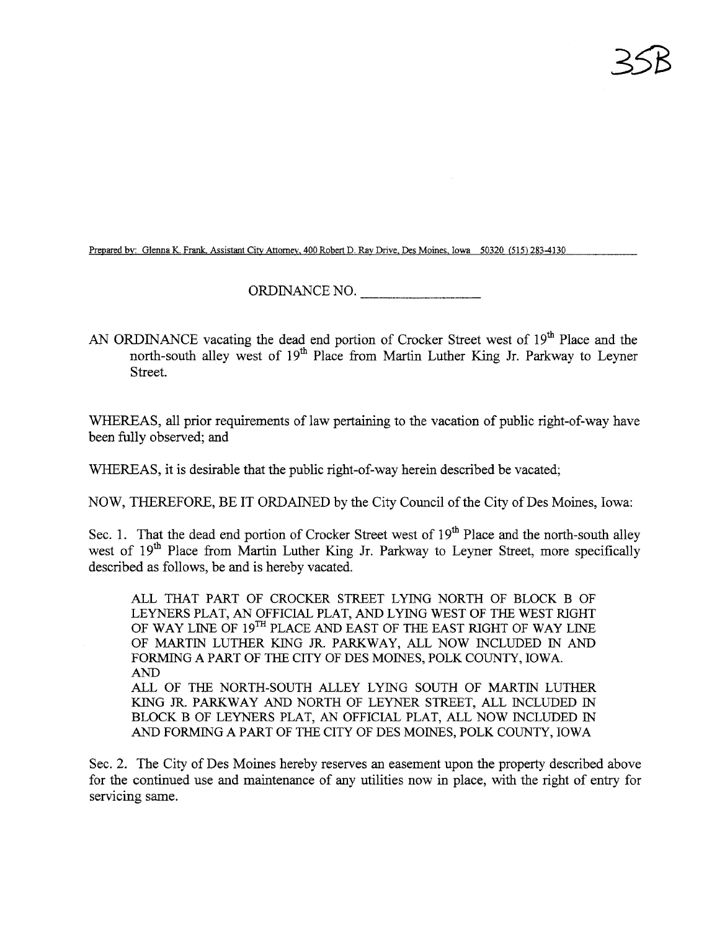Prepared by: Glenna K. Frank. Assistant City Attorney. 400 Robert D. Ray Drive, Des Moines, Iowa 50320 (515) 283-4130

ORDINANCE NO.

AN ORDINANCE vacating the dead end portion of Crocker Street west of 19<sup>th</sup> Place and the north-south alley west of 19<sup>th</sup> Place from Martin Luther King Jr. Parkway to Leyner Street.

WHEREAS, all prior requirements of law pertaining to the vacation of public right-of-way have been fuly observed; and

WHEREAS, it is desirable that the public right-of-way herein described be vacated;

NOW, THEREFORE, BE IT ORDAINED by the City Council of the City of Des Moines, Iowa:

Sec. 1. That the dead end portion of Crocker Street west of  $19<sup>th</sup>$  Place and the north-south alley west of 19<sup>th</sup> Place from Martin Luther King Jr. Parkway to Leyner Street, more specifically described as follows, be and is hereby vacated.

ALL THAT PART OF CROCKER STREET LYING NORTH OF BLOCK B OF LEYNERS PLAT, AN OFFICIAL PLAT, AND LYING WEST OF THE WEST RIGHT OF WAY LINE OF  $19^{TH}$  PLACE AND EAST OF THE EAST RIGHT OF WAY LINE OF MARTIN LUTHER KING JR. PARKWAY, ALL NOW INCLUDED IN AND FORMING A PART OF THE CITY OF DES MOINES, POLK COUNTY, IOWA. AND ALL OF THE NORTH-SOUTH ALLEY LYING SOUTH OF MATIN LUTHER KING JR. PARKWAY AND NORTH OF LEYNER STREET, ALL INCLUDED IN BLOCK B OF LEYNERS PLAT, AN OFFICIAL PLAT, ALL NOW INCLUDED IN AND FORMING A PART OF THE CITY OF DES MOINES, POLK COUNTY, IOWA

Sec. 2. The City of Des Moines hereby reserves an easement upon the property described above for the continued use and maintenance of any utilities now in place, with the right of entry for servicing same.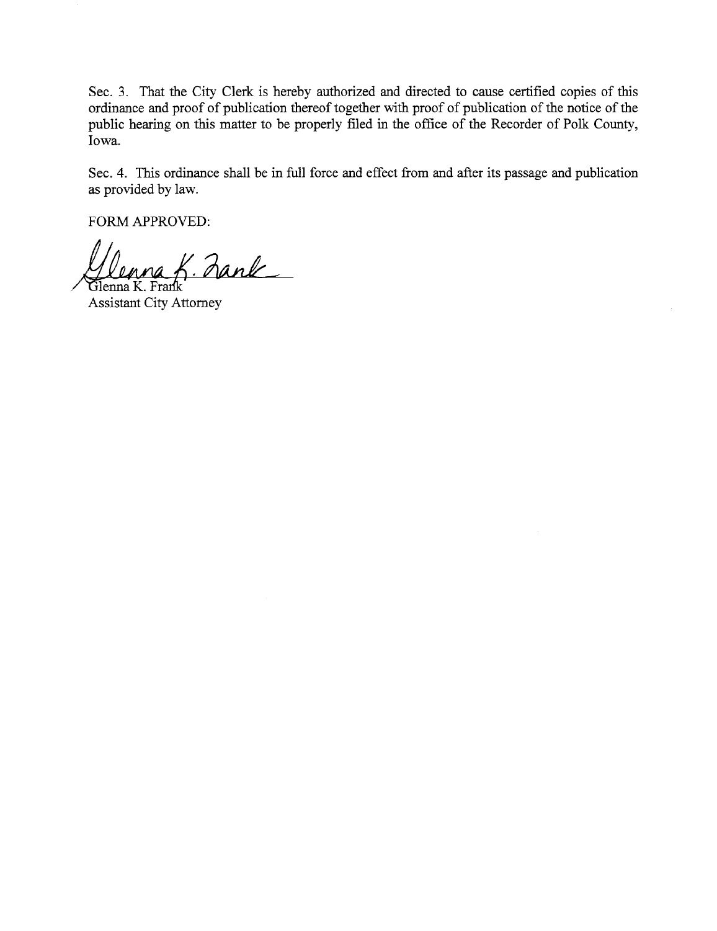Sec. 3. That the City Clerk is hereby authorized and directed to cause certified copies of this ordiance and proof of publication thereof together with proof of publication of the notice of the public hearing on this matter to be properly filed in the office of the Recorder of Polk County, Iowa.

Sec. 4. This ordinance shall be in full force and effect from and after its passage and publication as provided by law.

FORM APPROVED:

 $n$ na K. Zank Glenna K. Frank

**Assistant City Attorney**